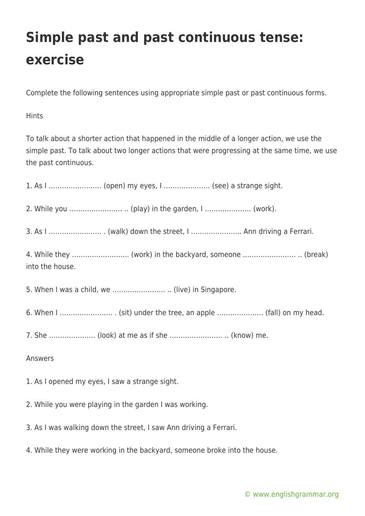## **Simple past and past continuous tense: exercise**

Complete the following sentences using appropriate simple past or past continuous forms.

**Hints** 

To talk about a shorter action that happened in the middle of a longer action, we use the simple past. To talk about two longer actions that were progressing at the same time, we use the past continuous.

1. As I …………………… (open) my eyes, I ………………… (see) a strange sight.

2. While you …………………… .. (play) in the garden, I ………………… (work).

3. As I …………………… . (walk) down the street, I ………………….. Ann driving a Ferrari.

4. While they …………………….. (work) in the backyard, someone …………………… .. (break) into the house.

5. When I was a child, we …………………… .. (live) in Singapore.

6. When I …………………… . (sit) under the tree, an apple ………………… (fall) on my head.

7. She ………………… (look) at me as if she …………………… .. (know) me.

Answers

1. As I opened my eyes, I saw a strange sight.

2. While you were playing in the garden I was working.

3. As I was walking down the street, I saw Ann driving a Ferrari.

4. While they were working in the backyard, someone broke into the house.